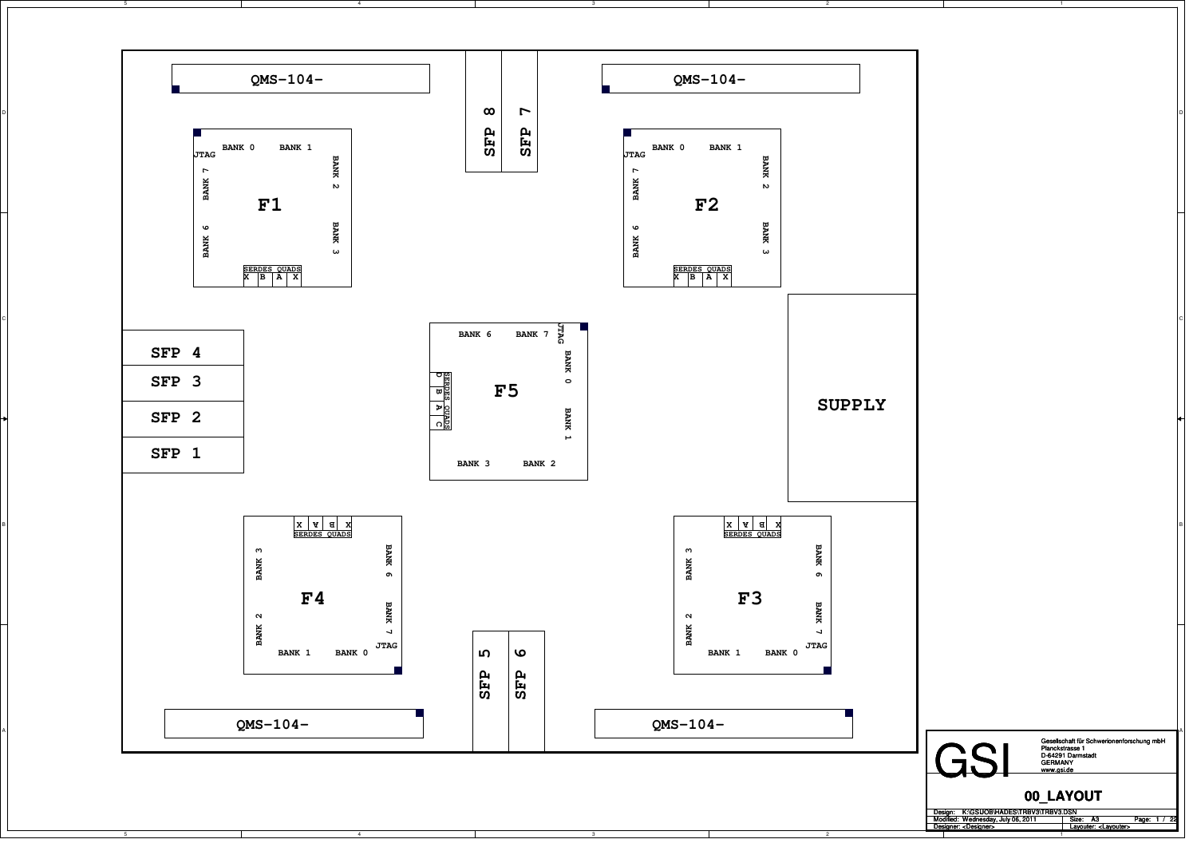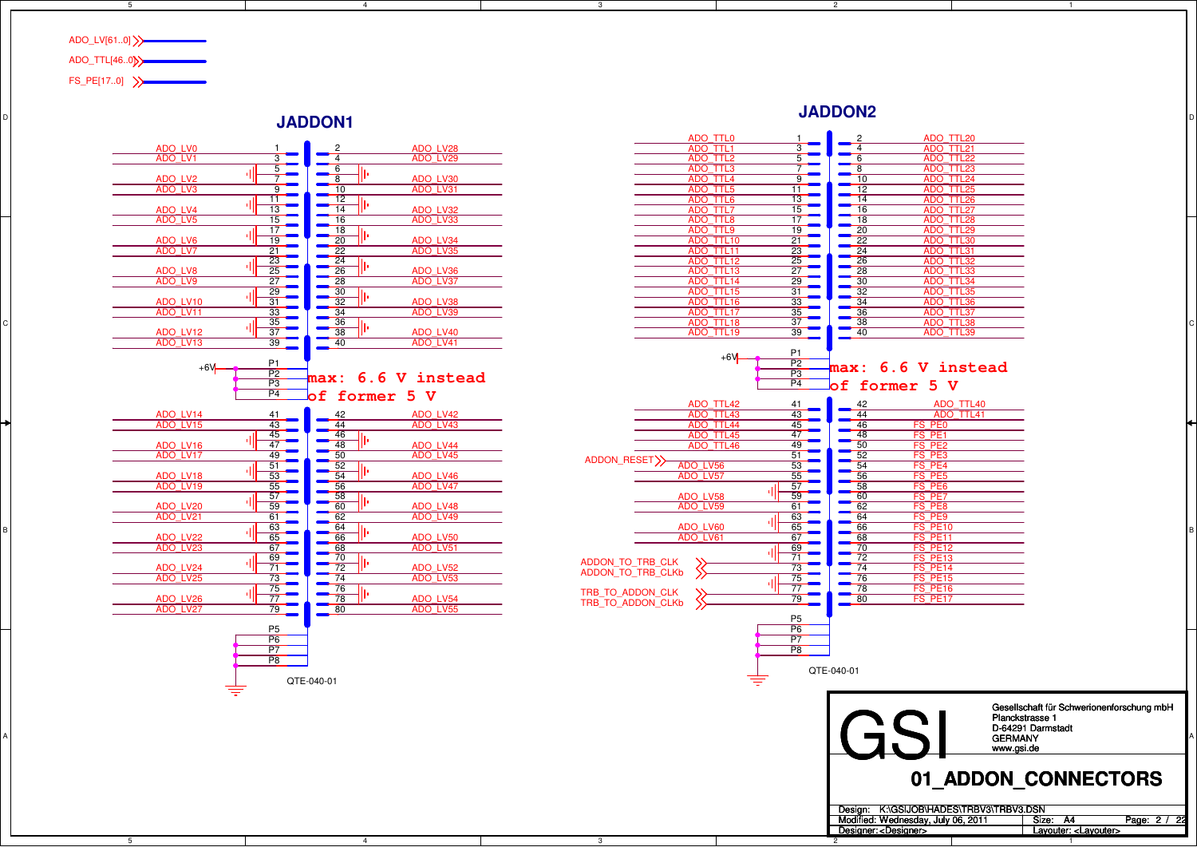

D

B

A

5

5

## **JADDON1**

4



4

3



2

2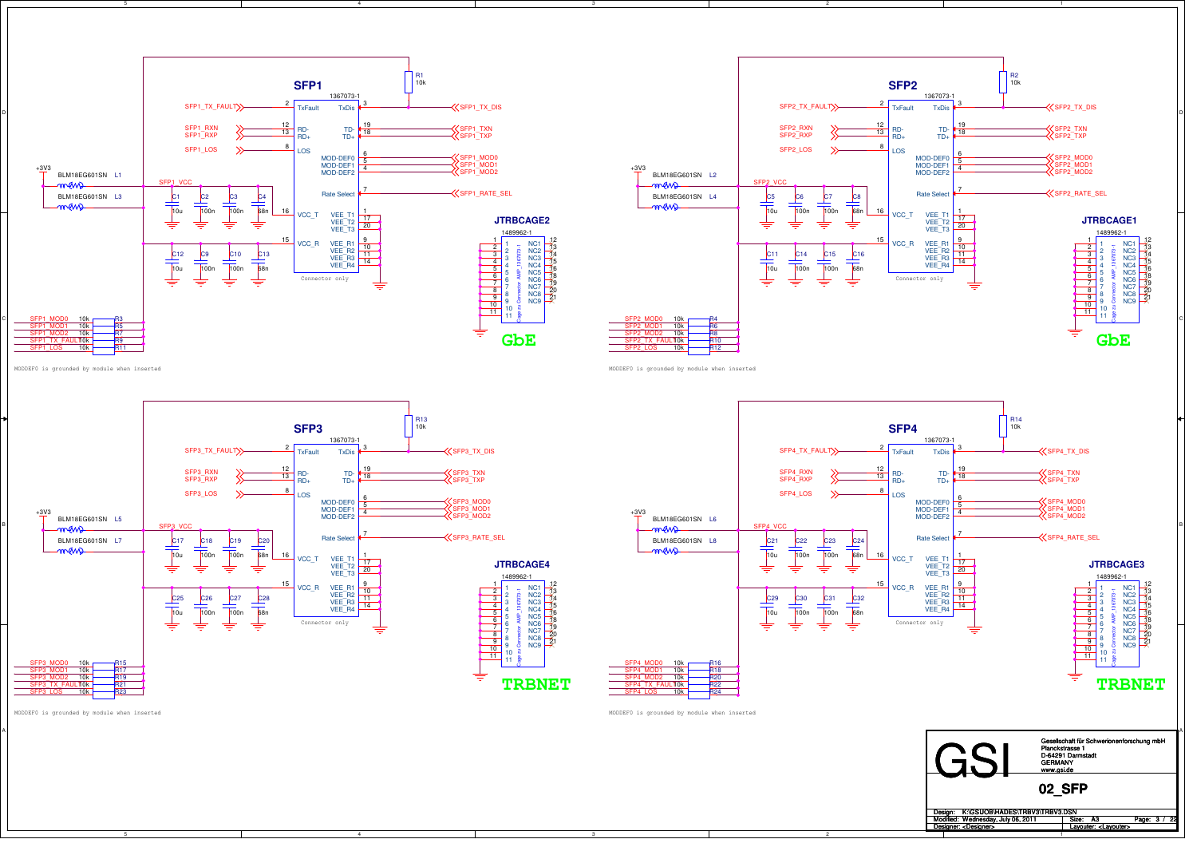



2

MODDEF0 is grounded by module when inserted





MODDEF0 is grounded by module when inserted



MODDEF0 is grounded by module when inserted

C

A



4

MODDEF0 is grounded by module when inserted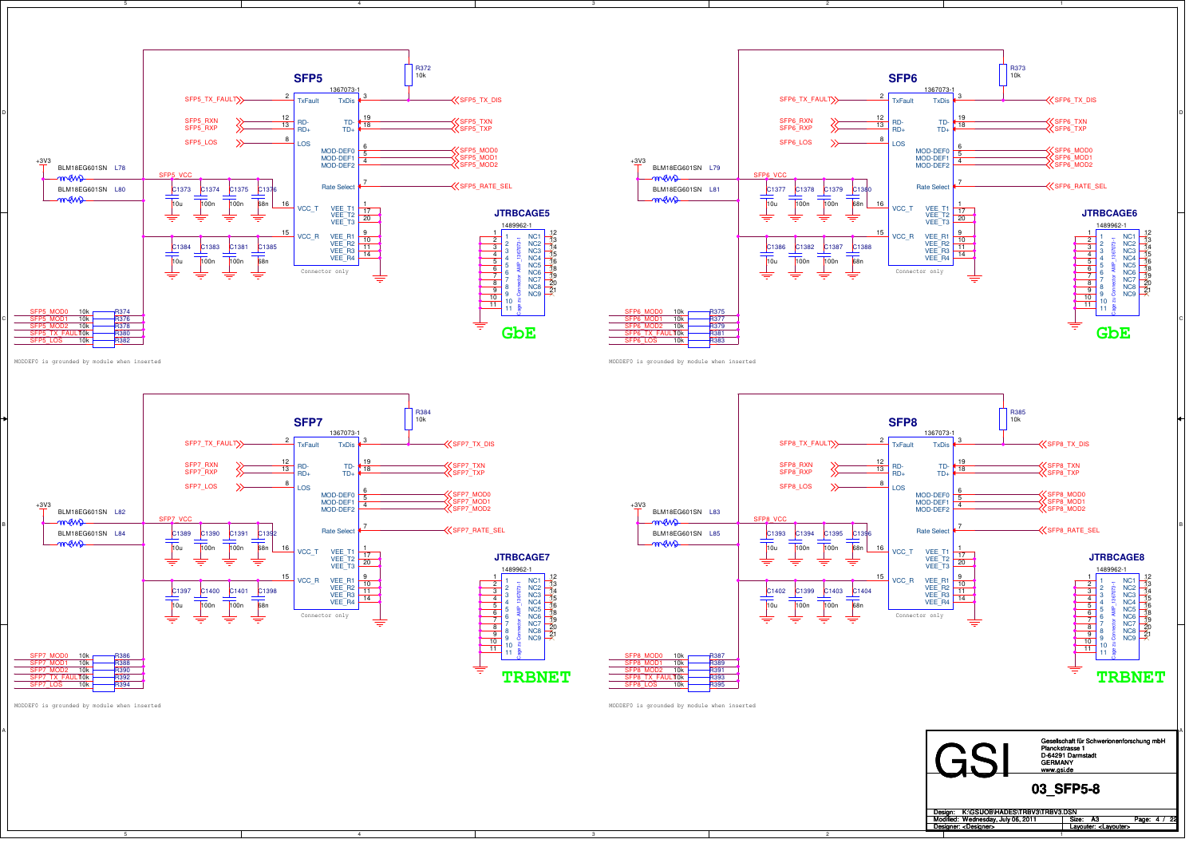



2

MODDEF0 is grounded by module when inserted





4



MODDEF0 is grounded by module when inserted



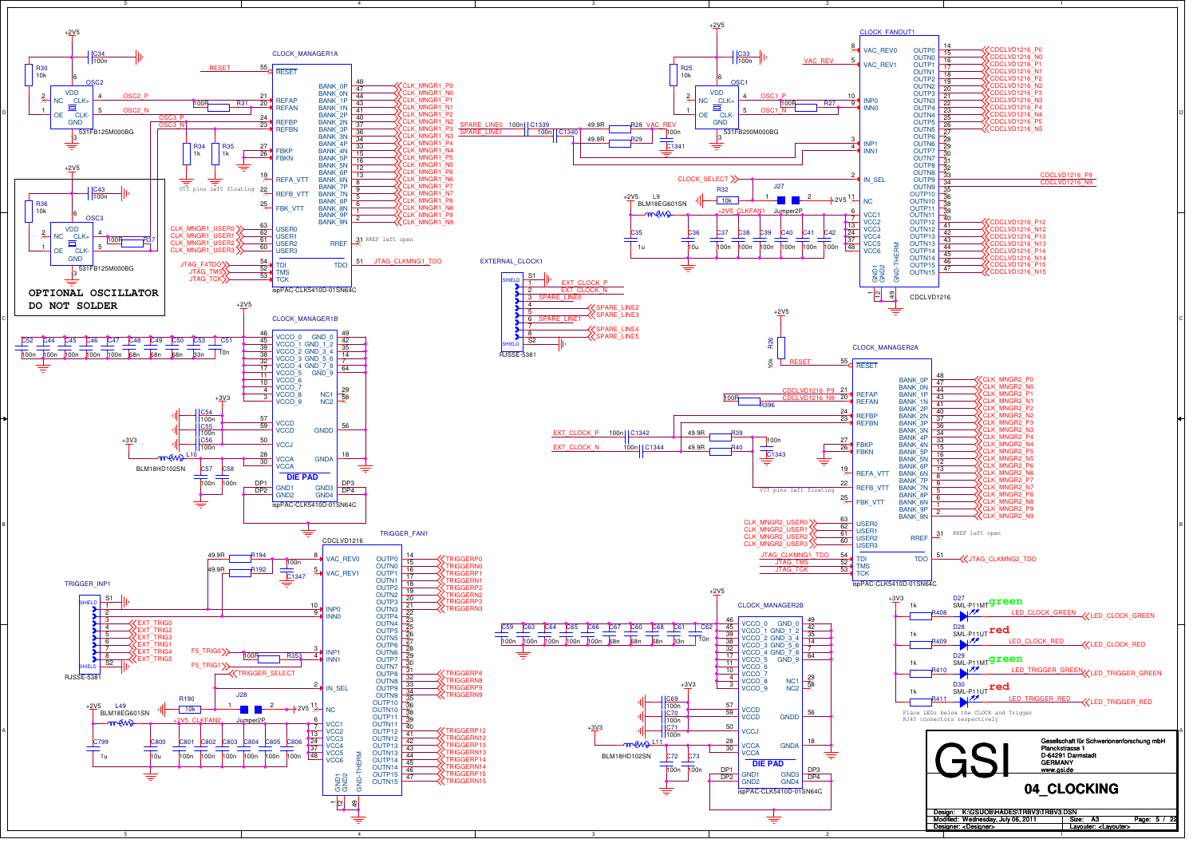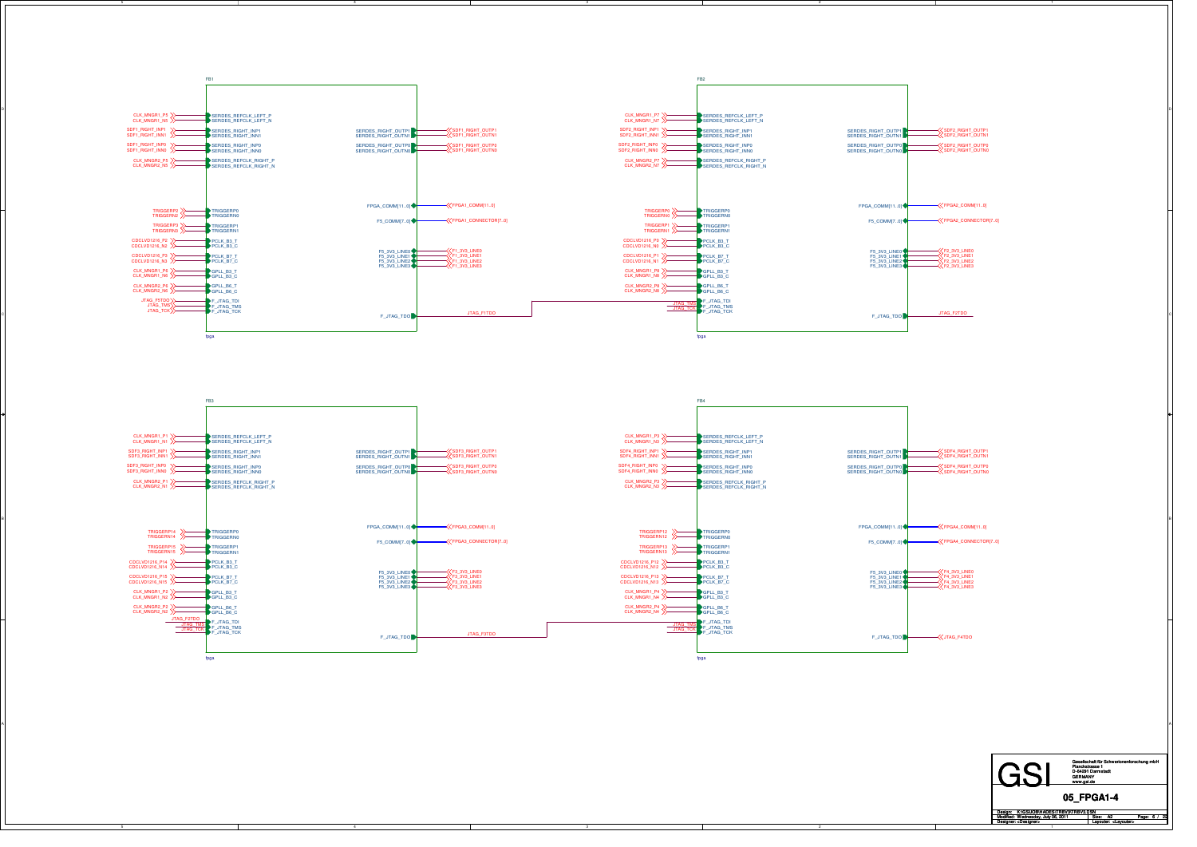

3

A

2

5

4

**GSI** Design: Modified: Size: / Page: Designer: Layouter: Gesellschaft für Schwerionenforschung mbHPlanckstrasse 1 D-64291 Darmstadt GERMANY www.gsi.de **05\_FPGA1-4** A2<Designer> <Layouter> Wednesday, July 06, 2011 K:\GSIJOB\HADES\TRBV3\TRBV3.DSN Page: 6 /

1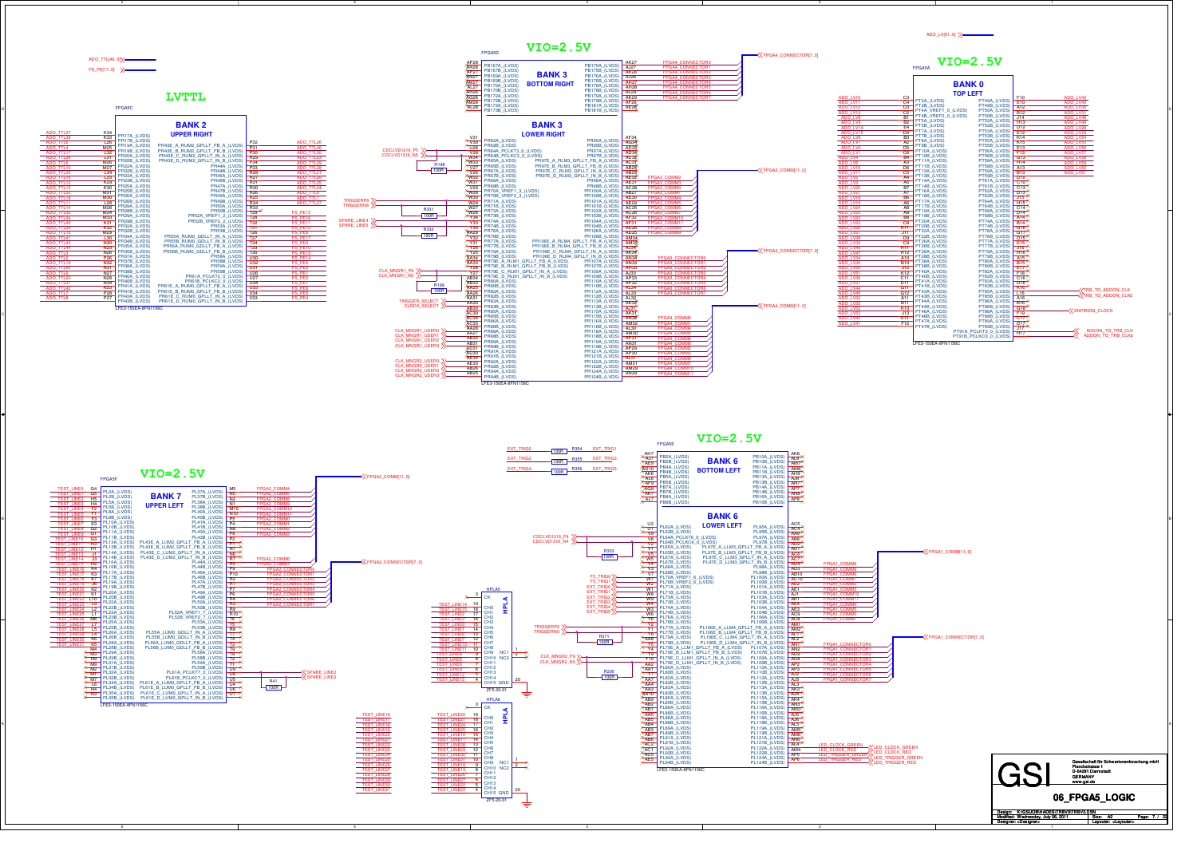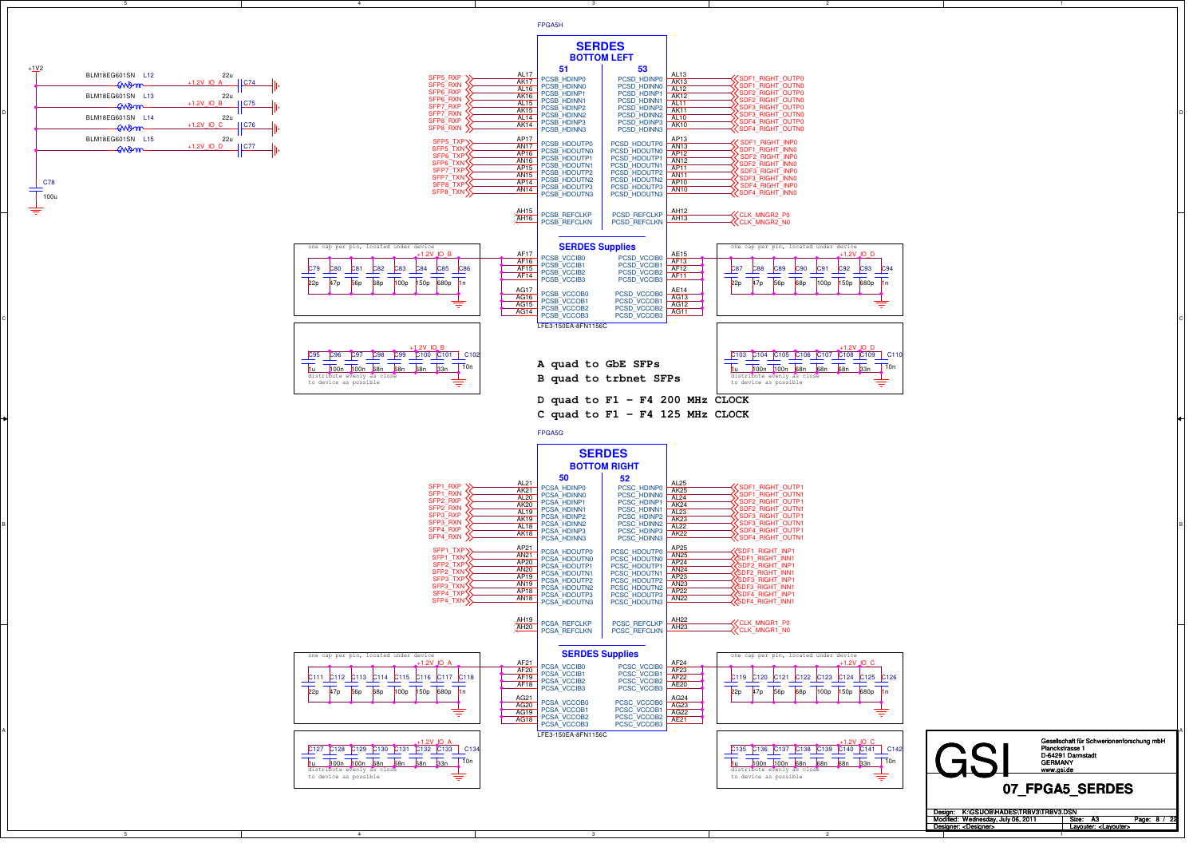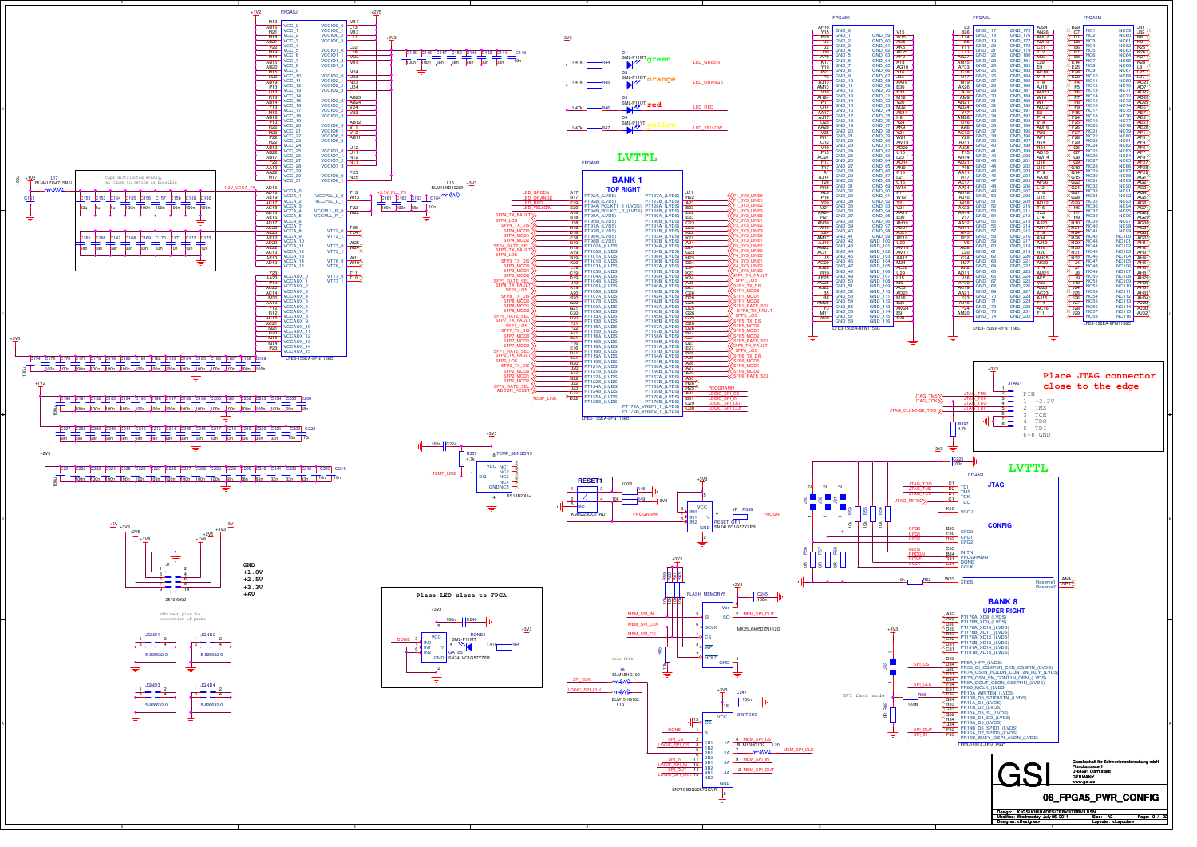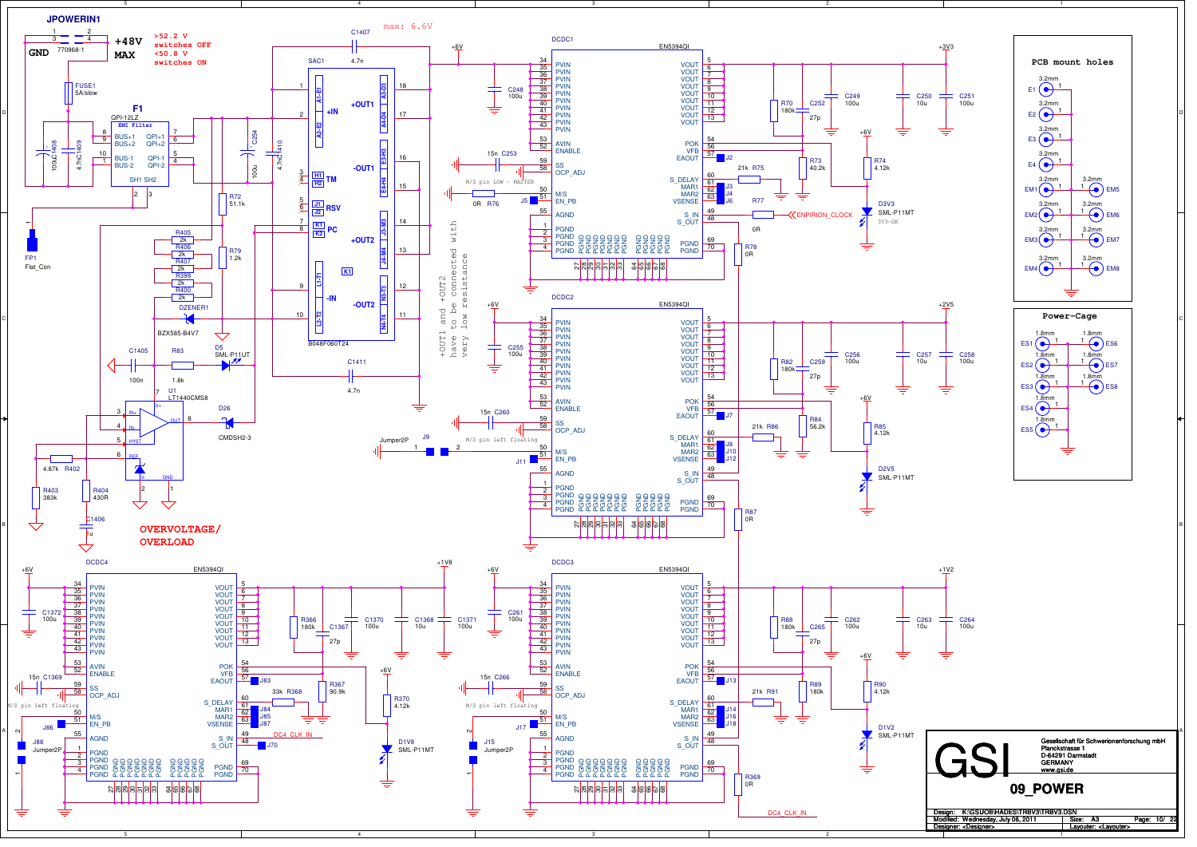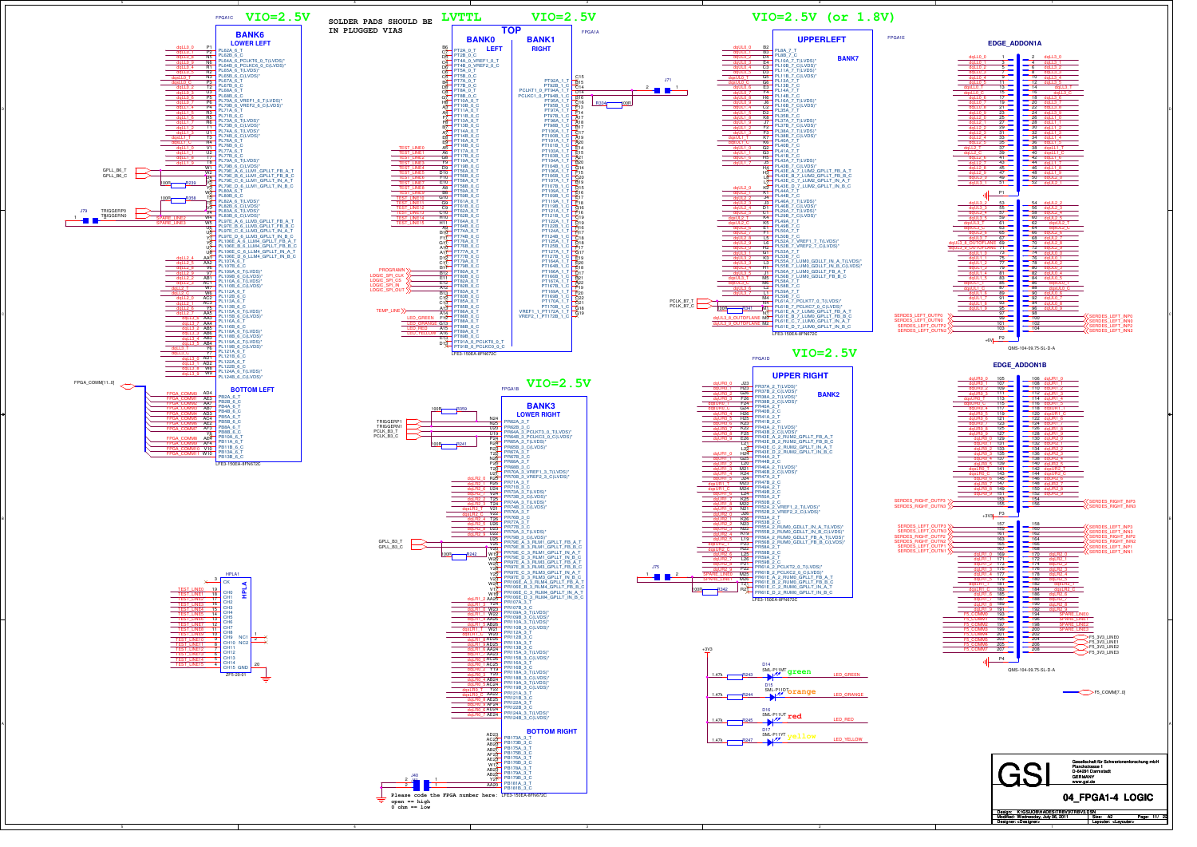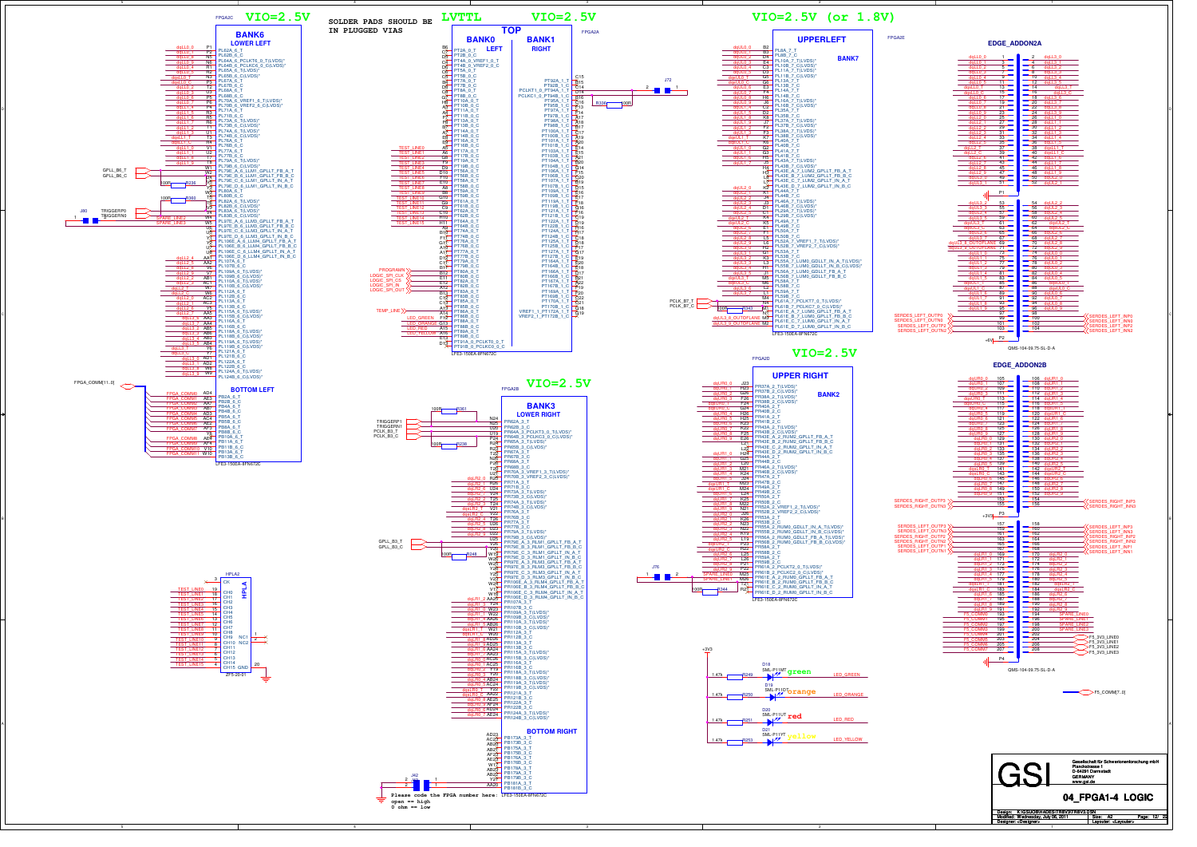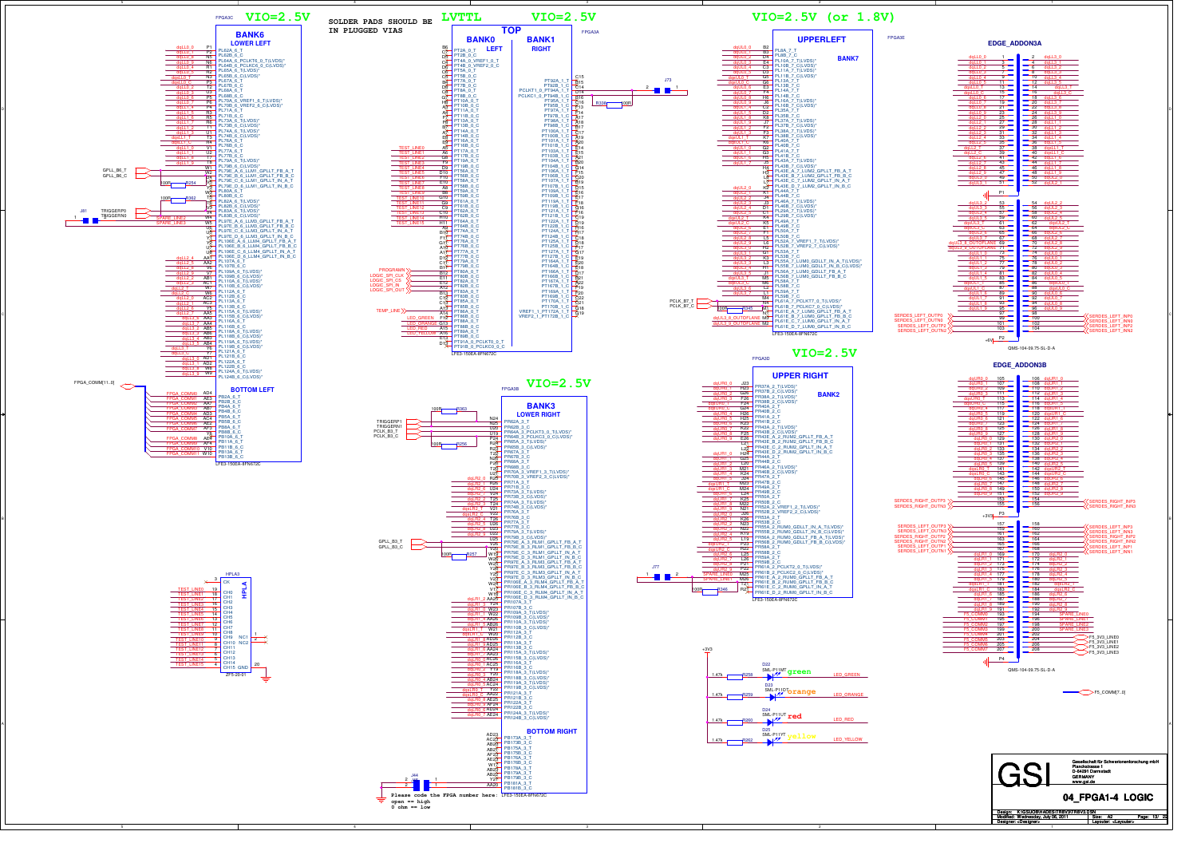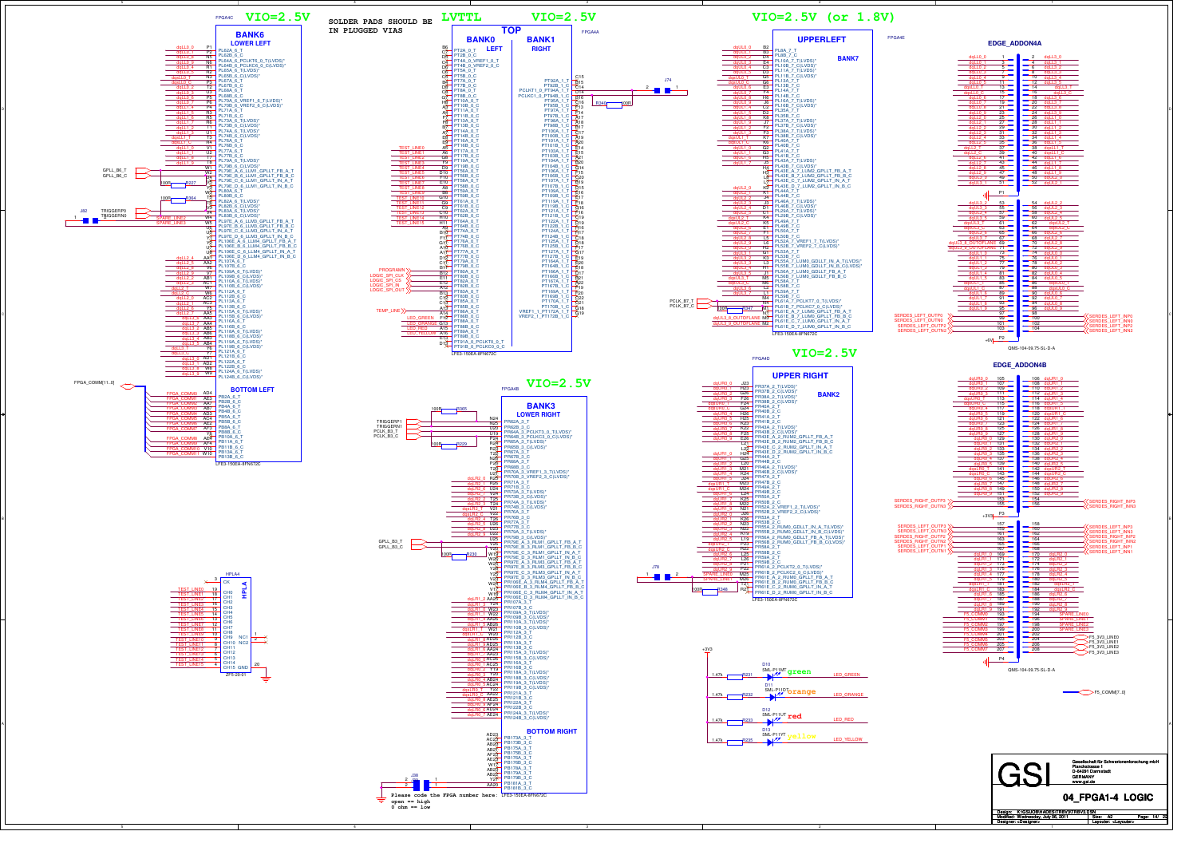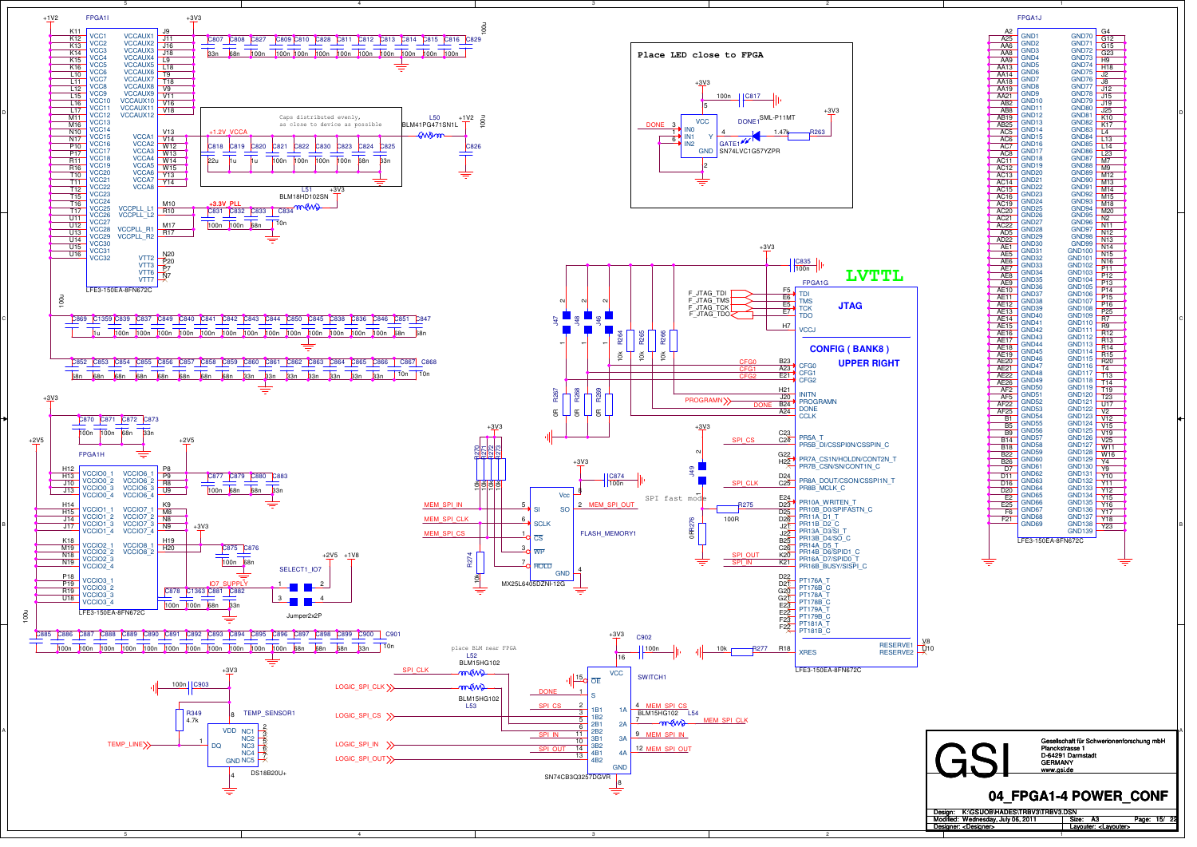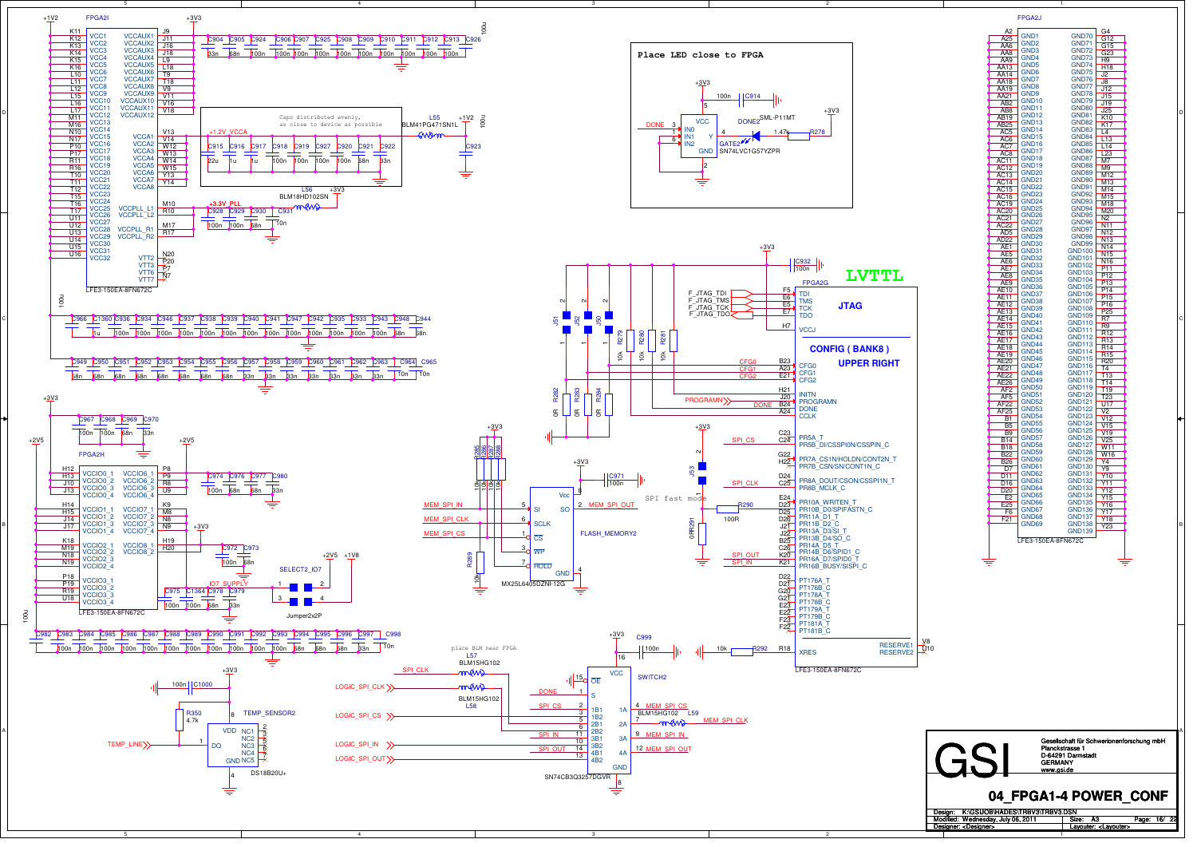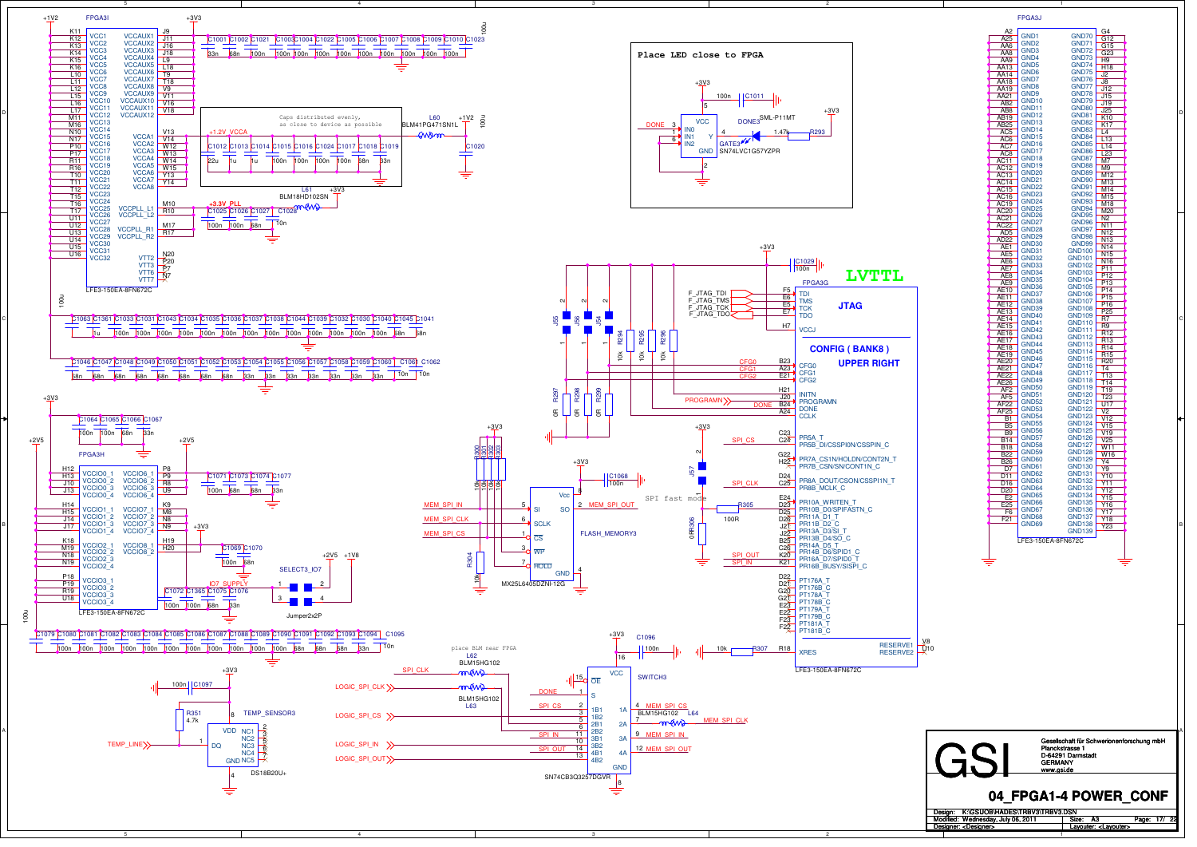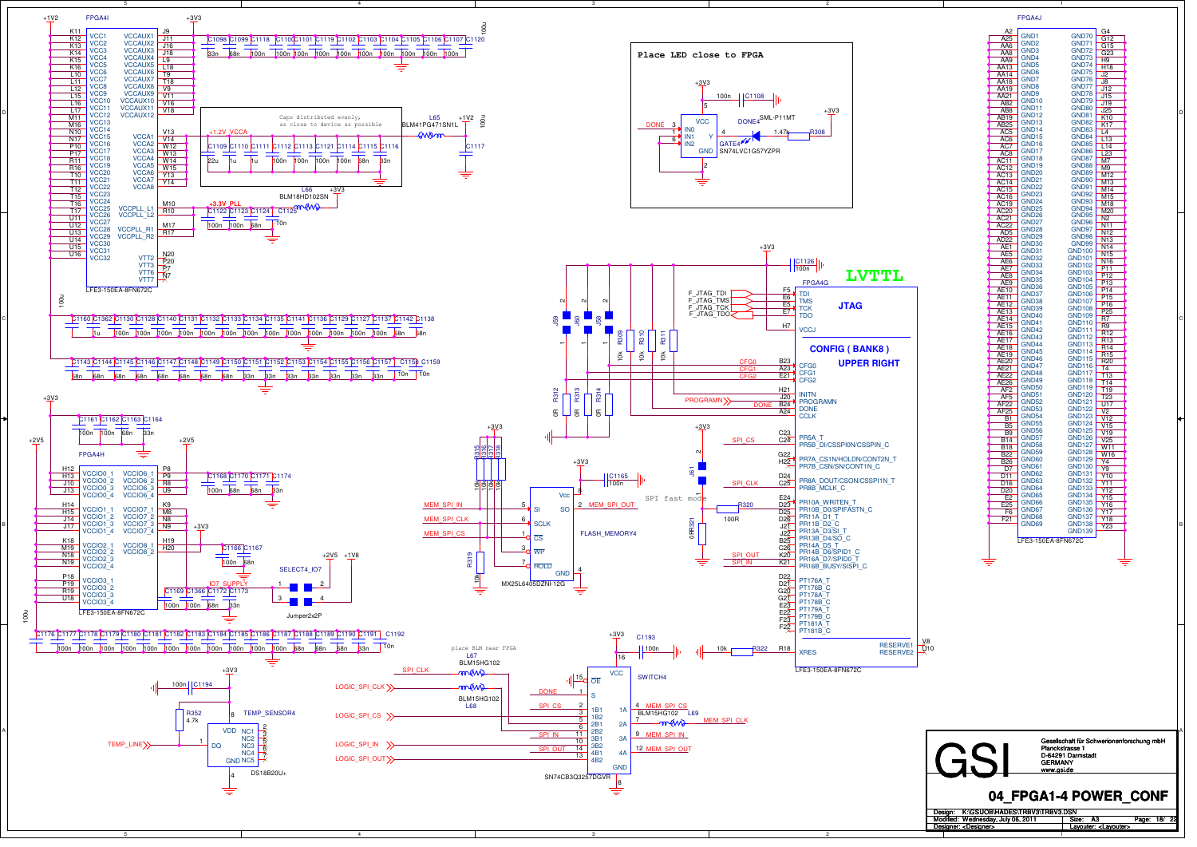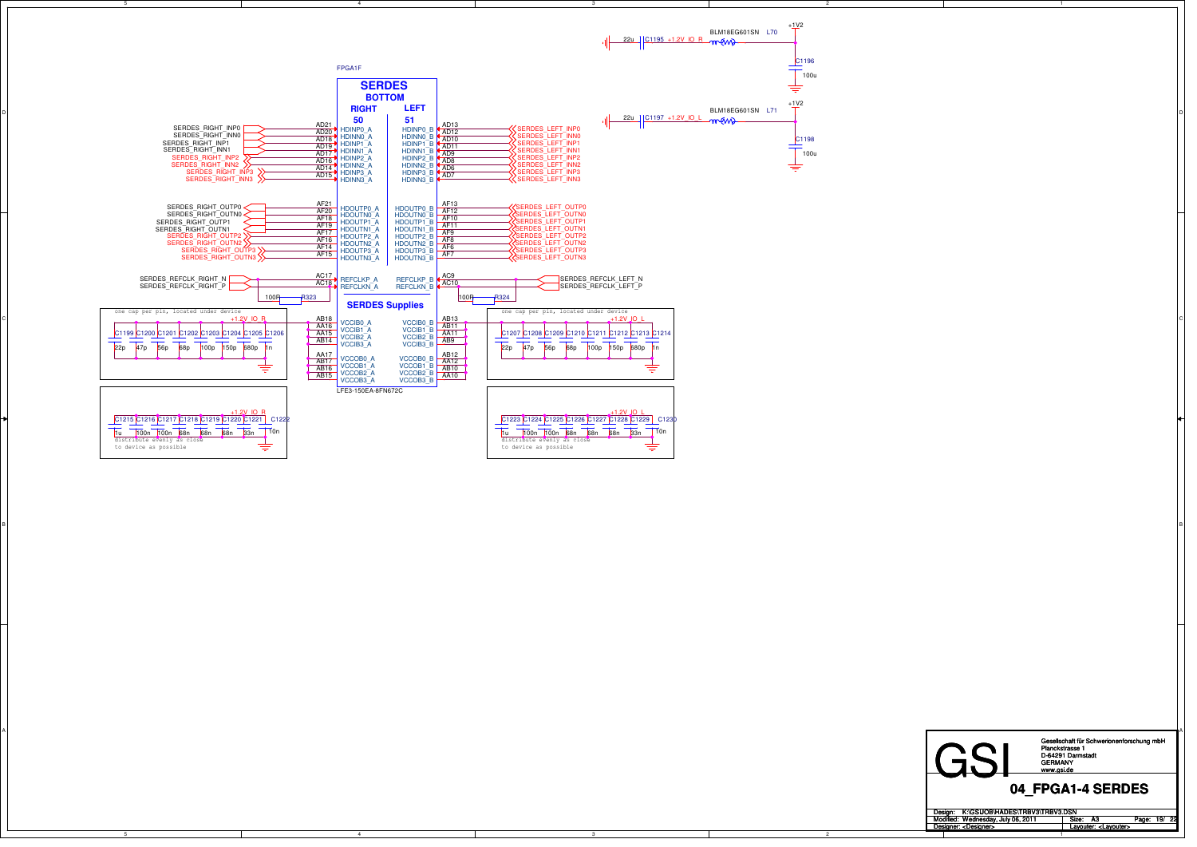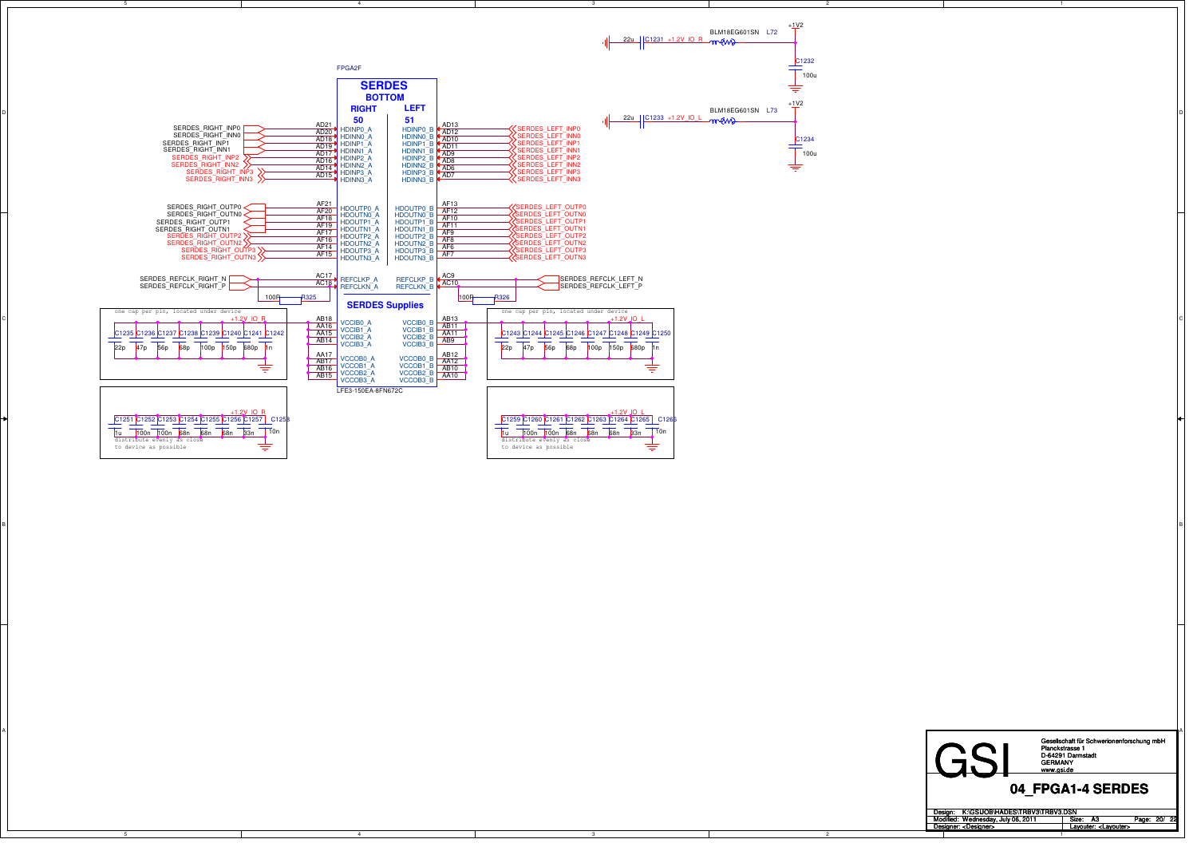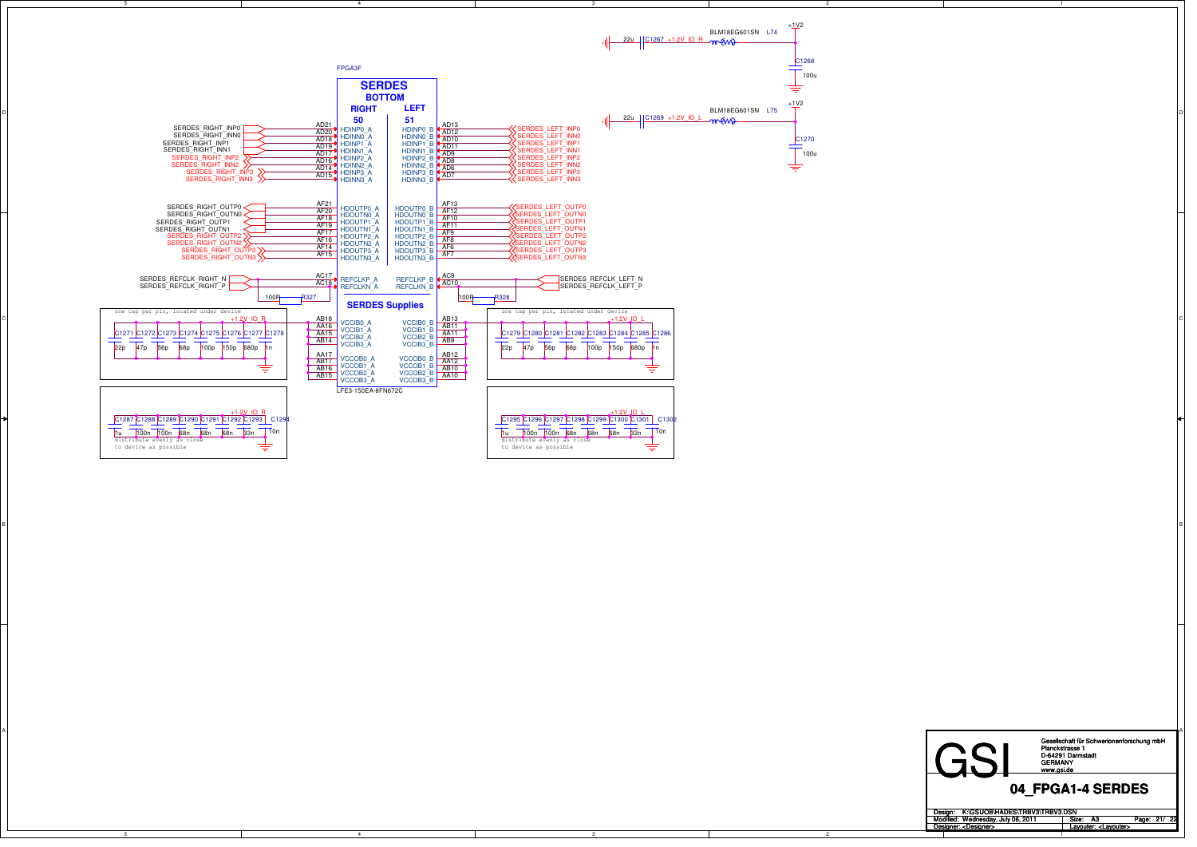

1Design: Modified: Size: / Page: A3Wednesday, July 06, 2011K:\GSIJOB\HADES\TRBV3\TRBV3.DSN Designer: Layouter: <Layouter> <Designer>

4

C